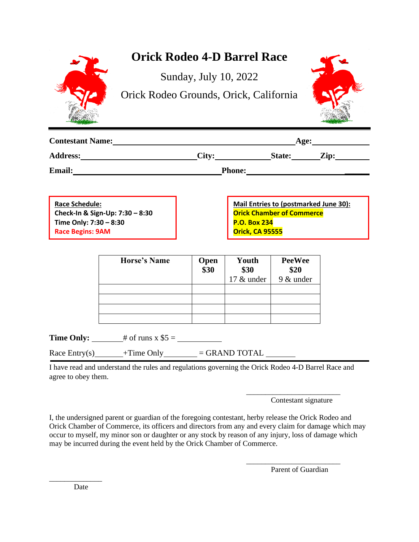|                                                                                                                                      |                                                                                                             | <b>Orick Rodeo 4-D Barrel Race</b> |                                                                                                                                                                                                      |  |  |
|--------------------------------------------------------------------------------------------------------------------------------------|-------------------------------------------------------------------------------------------------------------|------------------------------------|------------------------------------------------------------------------------------------------------------------------------------------------------------------------------------------------------|--|--|
|                                                                                                                                      | Orick Rodeo Grounds, Orick, California                                                                      | Sunday, July 10, 2022              |                                                                                                                                                                                                      |  |  |
| <b>Contestant Name:</b>                                                                                                              |                                                                                                             |                                    | $\Delta$ ge:                                                                                                                                                                                         |  |  |
|                                                                                                                                      |                                                                                                             |                                    | Address: City: State: Zip:                                                                                                                                                                           |  |  |
| Email: <u>Email:</u><br>Phone: <u>http://www.archive.com/marginess</u>                                                               |                                                                                                             |                                    |                                                                                                                                                                                                      |  |  |
| <b>Race Schedule:</b><br>Check-In & Sign-Up: 7:30 - 8:30<br>Time Only: 7:30 - 8:30<br><b>Race Begins: 9AM</b><br><b>Horse's Name</b> |                                                                                                             | Open<br>\$30                       | Mail Entries to (postmarked June 30):<br><b>Orick Chamber of Commerce</b><br><b>P.O. Box 234</b><br><b>Orick, CA 95555</b><br>Youth<br><b>PeeWee</b><br>\$30<br>\$20<br>17 $\&$ under   9 $\&$ under |  |  |
|                                                                                                                                      | <b>Time Only:</b> $\qquad$ # of runs x \$5 = $\qquad$<br>Race Entry(s) $+$ Time Only $=$ GRAND TOTAL $\_\_$ |                                    |                                                                                                                                                                                                      |  |  |
| agree to obey them.                                                                                                                  | I have read and understand the rules and regulations governing the Orick Rodeo 4-D Barrel Race and          |                                    |                                                                                                                                                                                                      |  |  |

Contestant signature

\_\_\_\_\_\_\_\_\_\_\_\_\_\_\_\_\_\_\_\_\_\_\_\_\_

I, the undersigned parent or guardian of the foregoing contestant, herby release the Orick Rodeo and Orick Chamber of Commerce, its officers and directors from any and every claim for damage which may occur to myself, my minor son or daughter or any stock by reason of any injury, loss of damage which may be incurred during the event held by the Orick Chamber of Commerce.

Parent of Guardian

\_\_\_\_\_\_\_\_\_\_\_\_\_\_\_\_\_\_\_\_\_\_\_\_\_

Date

\_\_\_\_\_\_\_\_\_\_\_\_\_\_